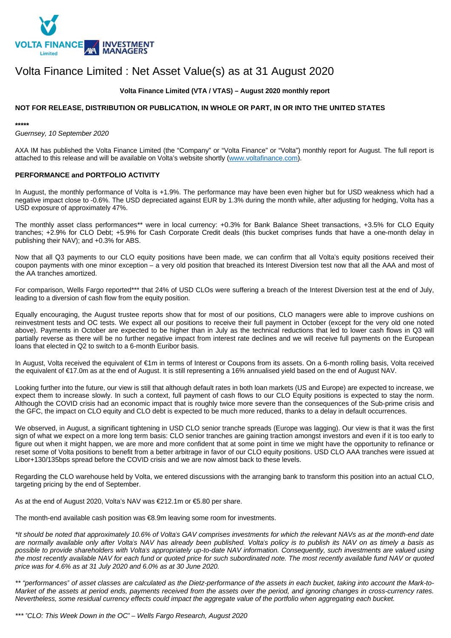

# Volta Finance Limited : Net Asset Value(s) as at 31 August 2020

# **Volta Finance Limited (VTA / VTAS) – August 2020 monthly report**

## **NOT FOR RELEASE, DISTRIBUTION OR PUBLICATION, IN WHOLE OR PART, IN OR INTO THE UNITED STATES**

**\*\*\*\*\*** 

Guernsey, 10 September 2020

AXA IM has published the Volta Finance Limited (the "Company" or "Volta Finance" or "Volta") monthly report for August. The full report is attached to this release and will be available on Volta's website shortly [\(www.voltafinance.com\)](http://www.voltafinance.com/).

## **PERFORMANCE and PORTFOLIO ACTIVITY**

In August, the monthly performance of Volta is +1.9%. The performance may have been even higher but for USD weakness which had a negative impact close to -0.6%. The USD depreciated against EUR by 1.3% during the month while, after adjusting for hedging, Volta has a USD exposure of approximately 47%.

The monthly asset class performances\*\* were in local currency: +0.3% for Bank Balance Sheet transactions, +3.5% for CLO Equity tranches; +2.9% for CLO Debt; +5.9% for Cash Corporate Credit deals (this bucket comprises funds that have a one-month delay in publishing their NAV); and +0.3% for ABS.

Now that all Q3 payments to our CLO equity positions have been made, we can confirm that all Volta's equity positions received their coupon payments with one minor exception – a very old position that breached its Interest Diversion test now that all the AAA and most of the AA tranches amortized.

For comparison, Wells Fargo reported\*\*\* that 24% of USD CLOs were suffering a breach of the Interest Diversion test at the end of July, leading to a diversion of cash flow from the equity position.

Equally encouraging, the August trustee reports show that for most of our positions, CLO managers were able to improve cushions on reinvestment tests and OC tests. We expect all our positions to receive their full payment in October (except for the very old one noted above). Payments in October are expected to be higher than in July as the technical reductions that led to lower cash flows in Q3 will partially reverse as there will be no further negative impact from interest rate declines and we will receive full payments on the European loans that elected in Q2 to switch to a 6-month Euribor basis.

In August, Volta received the equivalent of €1m in terms of Interest or Coupons from its assets. On a 6-month rolling basis, Volta received the equivalent of €17.0m as at the end of August. It is still representing a 16% annualised yield based on the end of August NAV.

Looking further into the future, our view is still that although default rates in both loan markets (US and Europe) are expected to increase, we expect them to increase slowly. In such a context, full payment of cash flows to our CLO Equity positions is expected to stay the norm. Although the COVID crisis had an economic impact that is roughly twice more severe than the consequences of the Sub-prime crisis and the GFC, the impact on CLO equity and CLO debt is expected to be much more reduced, thanks to a delay in default occurrences.

We observed, in August, a significant tightening in USD CLO senior tranche spreads (Europe was lagging). Our view is that it was the first sign of what we expect on a more long term basis: CLO senior tranches are gaining traction amongst investors and even if it is too early to figure out when it might happen, we are more and more confident that at some point in time we might have the opportunity to refinance or reset some of Volta positions to benefit from a better arbitrage in favor of our CLO equity positions. USD CLO AAA tranches were issued at Libor+130/135bps spread before the COVID crisis and we are now almost back to these levels.

Regarding the CLO warehouse held by Volta, we entered discussions with the arranging bank to transform this position into an actual CLO, targeting pricing by the end of September.

As at the end of August 2020, Volta's NAV was €212.1m or €5.80 per share.

The month-end available cash position was €8.9m leaving some room for investments.

\*It should be noted that approximately 10.6% of Volta's GAV comprises investments for which the relevant NAVs as at the month-end date are normally available only after Volta's NAV has already been published. Volta's policy is to publish its NAV on as timely a basis as possible to provide shareholders with Volta's appropriately up-to-date NAV information. Consequently, such investments are valued using the most recently available NAV for each fund or quoted price for such subordinated note. The most recently available fund NAV or quoted price was for 4.6% as at 31 July 2020 and 6.0% as at 30 June 2020.

\*\* "performances" of asset classes are calculated as the Dietz-performance of the assets in each bucket, taking into account the Mark-to-Market of the assets at period ends, payments received from the assets over the period, and ignoring changes in cross-currency rates. Nevertheless, some residual currency effects could impact the aggregate value of the portfolio when aggregating each bucket.

\*\*\* "CLO: This Week Down in the OC" – Wells Fargo Research, August 2020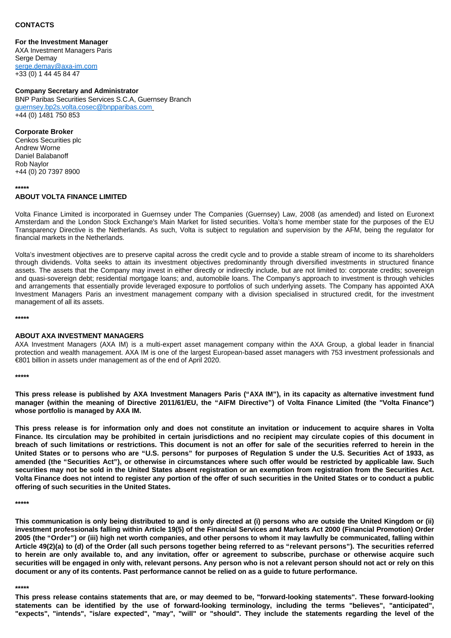## **CONTACTS**

#### **For the Investment Manager**

AXA Investment Managers Paris Serge Demay [serge.demay@axa-im.com](mailto:serge.demay@axa-im.com) +33 (0) 1 44 45 84 47

# **Company Secretary and Administrator**

BNP Paribas Securities Services S.C.A, Guernsey Branch [guernsey.bp2s.volta.cosec@bnpparibas.com](https://www.globenewswire.com/Tracker?data=8TYqe1zzDqrQV8m8k-fbuFfCPWcNVqXrTTQMy3Vw8CpoBFOGhqpPpexeVMzzK3ctUViX81WWkeuOxG9NHYG9jpMG8R0hD_N6-LtgNWE1arDUTmA3IXFWi7YN-Tx87SohQjtqLRvKjC0Xt9Uez6CGwy7YMZBDTJNaoPfIdb0fq48=) +44 (0) 1481 750 853

### **Corporate Broker**

Cenkos Securities plc Andrew Worne Daniel Balabanoff Rob Naylor +44 (0) 20 7397 8900

## **\*\*\*\*\***

#### **ABOUT VOLTA FINANCE LIMITED**

Volta Finance Limited is incorporated in Guernsey under The Companies (Guernsey) Law, 2008 (as amended) and listed on Euronext Amsterdam and the London Stock Exchange's Main Market for listed securities. Volta's home member state for the purposes of the EU Transparency Directive is the Netherlands. As such, Volta is subject to regulation and supervision by the AFM, being the regulator for financial markets in the Netherlands.

Volta's investment objectives are to preserve capital across the credit cycle and to provide a stable stream of income to its shareholders through dividends. Volta seeks to attain its investment objectives predominantly through diversified investments in structured finance assets. The assets that the Company may invest in either directly or indirectly include, but are not limited to: corporate credits; sovereign and quasi-sovereign debt; residential mortgage loans; and, automobile loans. The Company's approach to investment is through vehicles and arrangements that essentially provide leveraged exposure to portfolios of such underlying assets. The Company has appointed AXA Investment Managers Paris an investment management company with a division specialised in structured credit, for the investment management of all its assets.

**\*\*\*\*\***

## **ABOUT AXA INVESTMENT MANAGERS**

AXA Investment Managers (AXA IM) is a multi-expert asset management company within the AXA Group, a global leader in financial protection and wealth management. AXA IM is one of the largest European-based asset managers with 753 investment professionals and €801 billion in assets under management as of the end of April 2020.

**\*\*\*\*\*** 

**This press release is published by AXA Investment Managers Paris ("AXA IM"), in its capacity as alternative investment fund manager (within the meaning of Directive 2011/61/EU, the "AIFM Directive") of Volta Finance Limited (the "Volta Finance") whose portfolio is managed by AXA IM.**

**This press release is for information only and does not constitute an invitation or inducement to acquire shares in Volta Finance. Its circulation may be prohibited in certain jurisdictions and no recipient may circulate copies of this document in breach of such limitations or restrictions. This document is not an offer for sale of the securities referred to herein in the United States or to persons who are "U.S. persons" for purposes of Regulation S under the U.S. Securities Act of 1933, as amended (the "Securities Act"), or otherwise in circumstances where such offer would be restricted by applicable law. Such securities may not be sold in the United States absent registration or an exemption from registration from the Securities Act. Volta Finance does not intend to register any portion of the offer of such securities in the United States or to conduct a public offering of such securities in the United States.** 

**\*\*\*\*\*** 

**This communication is only being distributed to and is only directed at (i) persons who are outside the United Kingdom or (ii) investment professionals falling within Article 19(5) of the Financial Services and Markets Act 2000 (Financial Promotion) Order 2005 (the "Order") or (iii) high net worth companies, and other persons to whom it may lawfully be communicated, falling within Article 49(2)(a) to (d) of the Order (all such persons together being referred to as "relevant persons"). The securities referred to herein are only available to, and any invitation, offer or agreement to subscribe, purchase or otherwise acquire such securities will be engaged in only with, relevant persons. Any person who is not a relevant person should not act or rely on this document or any of its contents. Past performance cannot be relied on as a guide to future performance.**

**\*\*\*\*\***

**This press release contains statements that are, or may deemed to be, "forward-looking statements". These forward-looking statements can be identified by the use of forward-looking terminology, including the terms "believes", "anticipated", "expects", "intends", "is/are expected", "may", "will" or "should". They include the statements regarding the level of the**